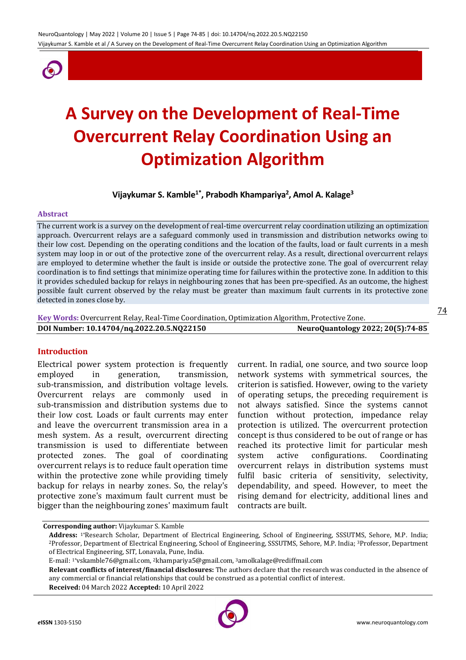

# **A Survey on the Development of Real-Time Overcurrent Relay Coordination Using an Optimization Algorithm**

**Vijaykumar S. Kamble1\*, Prabodh Khampariya<sup>2</sup> , Amol A. Kalage<sup>3</sup>**

#### **Abstract**

The current work is a survey on the development of real-time overcurrent relay coordination utilizing an optimization approach. Overcurrent relays are a safeguard commonly used in transmission and distribution networks owing to their low cost. Depending on the operating conditions and the location of the faults, load or fault currents in a mesh system may loop in or out of the protective zone of the overcurrent relay. As a result, directional overcurrent relays are employed to determine whether the fault is inside or outside the protective zone. The goal of overcurrent relay coordination is to find settings that minimize operating time for failures within the protective zone. In addition to this it provides scheduled backup for relays in neighbouring zones that has been pre-specified. As an outcome, the highest possible fault current observed by the relay must be greater than maximum fault currents in its protective zone detected in zones close by.

**Key Words:** Overcurrent Relay, Real-Time Coordination, Optimization Algorithm, Protective Zone. **DOI Number: 10.14704/nq.2022.20.5.NQ22150 NeuroQuantology 2022; 20(5):74-85**

#### **Introduction**

Electrical power system protection is frequently employed in generation, transmission, sub-transmission, and distribution voltage levels. Overcurrent relays are commonly used in sub-transmission and distribution systems due to their low cost. Loads or fault currents may enter and leave the overcurrent transmission area in a mesh system. As a result, overcurrent directing transmission is used to differentiate between protected zones. The goal of coordinating overcurrent relays is to reduce fault operation time within the protective zone while providing timely backup for relays in nearby zones. So, the relay's protective zone's maximum fault current must be bigger than the neighbouring zones' maximum fault current. In radial, one source, and two source loop network systems with symmetrical sources, the criterion is satisfied. However, owing to the variety of operating setups, the preceding requirement is not always satisfied. Since the systems cannot function without protection, impedance relay protection is utilized. The overcurrent protection concept is thus considered to be out of range or has reached its protective limit for particular mesh system active configurations. Coordinating overcurrent relays in distribution systems must fulfil basic criteria of sensitivity, selectivity, dependability, and speed. However, to meet the rising demand for electricity, additional lines and contracts are built.

**Corresponding author:** Vijaykumar S. Kamble

**Relevant conflicts of interest/financial disclosures:** The authors declare that the research was conducted in the absence of any commercial or financial relationships that could be construed as a potential conflict of interest.

**Received:** 04 March 2022 **Accepted:** 10 April 2022



**Address:** 1\*Research Scholar, Department of Electrical Engineering, School of Engineering, SSSUTMS, Sehore, M.P. India; <sup>2</sup>Professor, Department of Electrical Engineering, School of Engineering, SSSUTMS, Sehore, M.P. India; 3Professor, Department of Electrical Engineering, SIT, Lonavala, Pune, India.

E-mail: 1\*vskamble76@gmail.com, 2khampariya5@gmail.com, 3amolkalage@rediffmail.com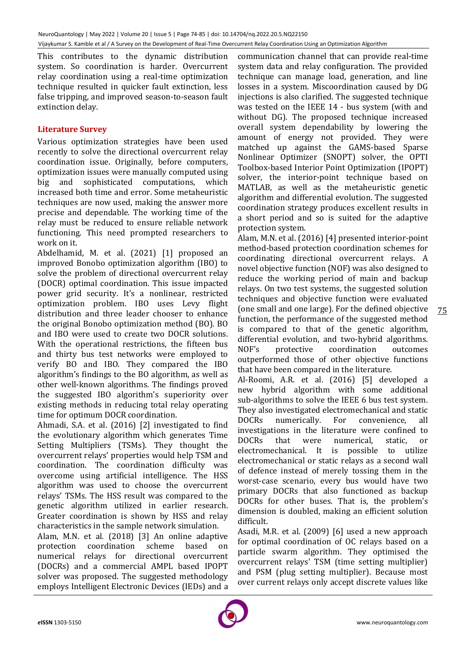This contributes to the dynamic distribution system. So coordination is harder. Overcurrent relay coordination using a real-time optimization technique resulted in quicker fault extinction, less false tripping, and improved season-to-season fault extinction delay.

# **Literature Survey**

Various optimization strategies have been used recently to solve the directional overcurrent relay coordination issue. Originally, before computers, optimization issues were manually computed using big and sophisticated computations, which increased both time and error. Some metaheuristic techniques are now used, making the answer more precise and dependable. The working time of the relay must be reduced to ensure reliable network functioning. This need prompted researchers to work on it.

Abdelhamid, M. et al. (2021) [1] proposed an improved Bonobo optimization algorithm (IBO) to solve the problem of directional overcurrent relay (DOCR) optimal coordination. This issue impacted power grid security. It's a nonlinear, restricted optimization problem. IBO uses Levy flight distribution and three leader chooser to enhance the original Bonobo optimization method (BO). BO and IBO were used to create two DOCR solutions. With the operational restrictions, the fifteen bus and thirty bus test networks were employed to verify BO and IBO. They compared the IBO algorithm's findings to the BO algorithm, as well as other well-known algorithms. The findings proved the suggested IBO algorithm's superiority over existing methods in reducing total relay operating time for optimum DOCR coordination.

Ahmadi, S.A. et al. (2016) [2] investigated to find the evolutionary algorithm which generates Time Setting Multipliers (TSMs). They thought the overcurrent relays' properties would help TSM and coordination. The coordination difficulty was overcome using artificial intelligence. The HSS algorithm was used to choose the overcurrent relays' TSMs. The HSS result was compared to the genetic algorithm utilized in earlier research. Greater coordination is shown by HSS and relay characteristics in the sample network simulation.

Alam, M.N. et al. (2018) [3] An online adaptive protection coordination scheme based on numerical relays for directional overcurrent (DOCRs) and a commercial AMPL based IPOPT solver was proposed. The suggested methodology employs Intelligent Electronic Devices (IEDs) and a communication channel that can provide real-time system data and relay configuration. The provided technique can manage load, generation, and line losses in a system. Miscoordination caused by DG injections is also clarified. The suggested technique was tested on the IEEE 14 - bus system (with and without DG). The proposed technique increased overall system dependability by lowering the amount of energy not provided. They were matched up against the GAMS-based Sparse Nonlinear Optimizer (SNOPT) solver, the OPTI Toolbox-based Interior Point Optimization (IPOPT) solver, the interior-point technique based on MATLAB, as well as the metaheuristic genetic algorithm and differential evolution. The suggested coordination strategy produces excellent results in a short period and so is suited for the adaptive protection system.

Alam, M.N. et al. (2016) [4] presented interior-point method-based protection coordination schemes for coordinating directional overcurrent relays. A novel objective function (NOF) was also designed to reduce the working period of main and backup relays. On two test systems, the suggested solution techniques and objective function were evaluated (one small and one large). For the defined objective function, the performance of the suggested method is compared to that of the genetic algorithm, differential evolution, and two-hybrid algorithms. NOF's protective coordination outcomes outperformed those of other objective functions that have been compared in the literature.

Al-Roomi, A.R. et al. (2016) [5] developed a new hybrid algorithm with some additional sub-algorithms to solve the IEEE 6 bus test system. They also investigated electromechanical and static DOCRs numerically. For convenience, all investigations in the literature were confined to DOCRs that were numerical, static, or electromechanical. It is possible to utilize electromechanical or static relays as a second wall of defence instead of merely tossing them in the worst-case scenario, every bus would have two primary DOCRs that also functioned as backup DOCRs for other buses. That is, the problem's dimension is doubled, making an efficient solution difficult.

Asadi, M.R. et al. (2009) [6] used a new approach for optimal coordination of OC relays based on a particle swarm algorithm. They optimised the overcurrent relays' TSM (time setting multiplier) and PSM (plug setting multiplier). Because most over current relays only accept discrete values like

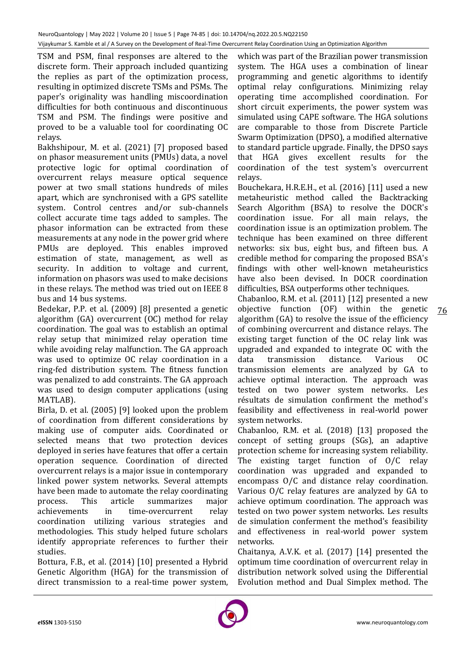TSM and PSM, final responses are altered to the discrete form. Their approach included quantizing the replies as part of the optimization process, resulting in optimized discrete TSMs and PSMs. The paper's originality was handling miscoordination difficulties for both continuous and discontinuous TSM and PSM. The findings were positive and proved to be a valuable tool for coordinating OC relays.

Bakhshipour, M. et al. (2021) [7] proposed based on phasor measurement units (PMUs) data, a novel protective logic for optimal coordination of overcurrent relays measure optical sequence power at two small stations hundreds of miles apart, which are synchronised with a GPS satellite system. Control centres and/or sub-channels collect accurate time tags added to samples. The phasor information can be extracted from these measurements at any node in the power grid where PMUs are deployed. This enables improved estimation of state, management, as well as security. In addition to voltage and current, information on phasors was used to make decisions in these relays. The method was tried out on IEEE 8 bus and 14 bus systems.

Bedekar, P.P. et al. (2009) [8] presented a genetic algorithm (GA) overcurrent (OC) method for relay coordination. The goal was to establish an optimal relay setup that minimized relay operation time while avoiding relay malfunction. The GA approach was used to optimize OC relay coordination in a ring-fed distribution system. The fitness function was penalized to add constraints. The GA approach was used to design computer applications (using MATLAB).

Birla, D. et al. (2005) [9] looked upon the problem of coordination from different considerations by making use of computer aids. Coordinated or selected means that two protection devices deployed in series have features that offer a certain operation sequence. Coordination of directed overcurrent relays is a major issue in contemporary linked power system networks. Several attempts have been made to automate the relay coordinating process. This article summarizes major achievements in time-overcurrent relay coordination utilizing various strategies and methodologies. This study helped future scholars identify appropriate references to further their studies.

Bottura, F.B., et al. (2014) [10] presented a Hybrid Genetic Algorithm (HGA) for the transmission of direct transmission to a real-time power system, which was part of the Brazilian power transmission system. The HGA uses a combination of linear programming and genetic algorithms to identify optimal relay configurations. Minimizing relay operating time accomplished coordination. For short circuit experiments, the power system was simulated using CAPE software. The HGA solutions are comparable to those from Discrete Particle Swarm Optimization (DPSO), a modified alternative to standard particle upgrade. Finally, the DPSO says that HGA gives excellent results for the coordination of the test system's overcurrent relays.

Bouchekara, H.R.E.H., et al. (2016) [11] used a new metaheuristic method called the Backtracking Search Algorithm (BSA) to resolve the DOCR's coordination issue. For all main relays, the coordination issue is an optimization problem. The technique has been examined on three different networks: six bus, eight bus, and fifteen bus. A credible method for comparing the proposed BSA's findings with other well-known metaheuristics have also been devised. In DOCR coordination difficulties, BSA outperforms other techniques.

Chabanloo, R.M. et al. (2011) [12] presented a new objective function (OF) within the genetic algorithm (GA) to resolve the issue of the efficiency of combining overcurrent and distance relays. The existing target function of the OC relay link was upgraded and expanded to integrate OC with the data transmission distance. Various OC transmission elements are analyzed by GA to achieve optimal interaction. The approach was tested on two power system networks. Les résultats de simulation confirment the method's feasibility and effectiveness in real-world power system networks.

Chabanloo, R.M. et al. (2018) [13] proposed the concept of setting groups (SGs), an adaptive protection scheme for increasing system reliability. The existing target function of O/C relay coordination was upgraded and expanded to encompass O/C and distance relay coordination. Various O/C relay features are analyzed by GA to achieve optimum coordination. The approach was tested on two power system networks. Les results de simulation conferment the method's feasibility and effectiveness in real-world power system networks.

Chaitanya, A.V.K. et al. (2017) [14] presented the optimum time coordination of overcurrent relay in distribution network solved using the Differential Evolution method and Dual Simplex method. The

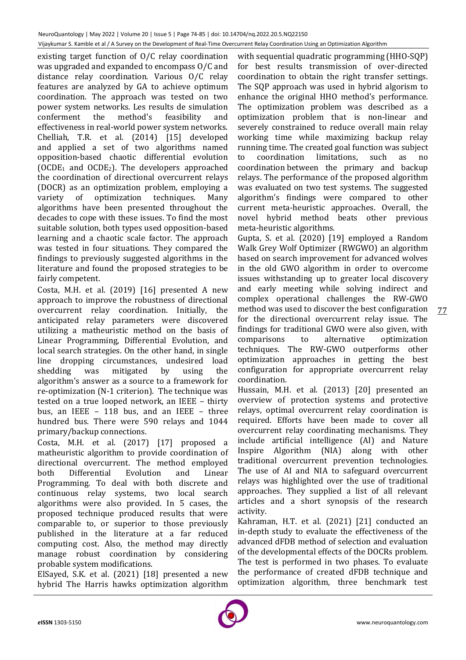existing target function of O/C relay coordination was upgraded and expanded to encompass O/C and distance relay coordination. Various O/C relay features are analyzed by GA to achieve optimum coordination. The approach was tested on two power system networks. Les results de simulation conferment the method's feasibility and effectiveness in real-world power system networks. Chelliah, T.R. et al. (2014) [15] developed and applied a set of two algorithms named opposition-based chaotic differential evolution  $(OCDE<sub>1</sub>$  and  $OCDE<sub>2</sub>$ ). The developers approached the coordination of directional overcurrent relays (DOCR) as an optimization problem, employing a variety of optimization techniques. Many algorithms have been presented throughout the decades to cope with these issues. To find the most suitable solution, both types used opposition-based learning and a chaotic scale factor. The approach was tested in four situations. They compared the findings to previously suggested algorithms in the literature and found the proposed strategies to be fairly competent.

Costa, M.H. et al. (2019) [16] presented A new approach to improve the robustness of directional overcurrent relay coordination. Initially, the anticipated relay parameters were discovered utilizing a matheuristic method on the basis of Linear Programming, Differential Evolution, and local search strategies. On the other hand, in single line dropping circumstances, undesired load shedding was mitigated by using the algorithm's answer as a source to a framework for re-optimization (N-1 criterion). The technique was tested on a true looped network, an IEEE – thirty bus, an IEEE – 118 bus, and an IEEE – three hundred bus. There were 590 relays and 1044 primary/backup connections.

Costa, M.H. et al. (2017) [17] proposed a matheuristic algorithm to provide coordination of directional overcurrent. The method employed both Differential Evolution and Linear Programming. To deal with both discrete and continuous relay systems, two local search algorithms were also provided. In 5 cases, the proposed technique produced results that were comparable to, or superior to those previously published in the literature at a far reduced computing cost. Also, the method may directly manage robust coordination by considering probable system modifications.

ElSayed, S.K. et al. (2021) [18] presented a new hybrid The Harris hawks optimization algorithm with sequential quadratic programming (HHO-SQP) for best results transmission of over-directed coordination to obtain the right transfer settings. The SQP approach was used in hybrid algorism to enhance the original HHO method's performance. The optimization problem was described as a optimization problem that is non-linear and severely constrained to reduce overall main relay working time while maximizing backup relay running time. The created goal function was subject to coordination limitations, such as no coordination between the primary and backup relays. The performance of the proposed algorithm was evaluated on two test systems. The suggested algorithm's findings were compared to other current meta-heuristic approaches. Overall, the novel hybrid method beats other previous meta-heuristic algorithms.

Gupta, S. et al. (2020) [19] employed a Random Walk Grey Wolf Optimizer (RWGWO) an algorithm based on search improvement for advanced wolves in the old GWO algorithm in order to overcome issues withstanding up to greater local discovery and early meeting while solving indirect and complex operational challenges the RW-GWO method was used to discover the best configuration for the directional overcurrent relay issue. The findings for traditional GWO were also given, with comparisons to alternative optimization techniques. The RW-GWO outperforms other optimization approaches in getting the best configuration for appropriate overcurrent relay coordination.

Hussain, M.H. et al. (2013) [20] presented an overview of protection systems and protective relays, optimal overcurrent relay coordination is required. Efforts have been made to cover all overcurrent relay coordinating mechanisms. They include artificial intelligence (AI) and Nature Inspire Algorithm (NIA) along with other traditional overcurrent prevention technologies. The use of AI and NIA to safeguard overcurrent relays was highlighted over the use of traditional approaches. They supplied a list of all relevant articles and a short synopsis of the research activity.

Kahraman, H.T. et al. (2021) [21] conducted an in-depth study to evaluate the effectiveness of the advanced dFDB method of selection and evaluation of the developmental effects of the DOCRs problem. The test is performed in two phases. To evaluate the performance of created dFDB technique and optimization algorithm, three benchmark test

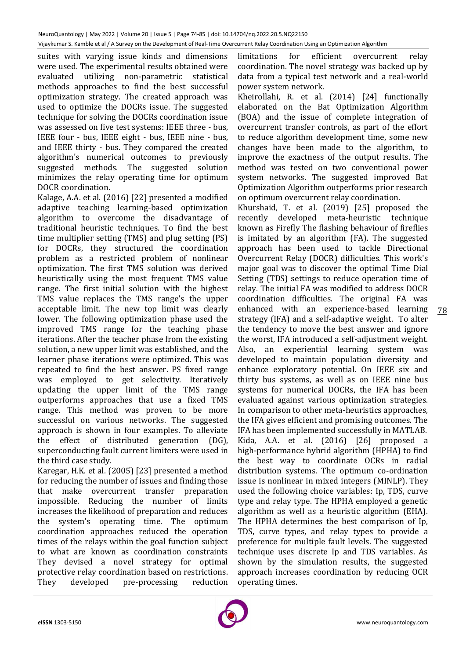suites with varying issue kinds and dimensions were used. The experimental results obtained were evaluated utilizing non-parametric statistical methods approaches to find the best successful optimization strategy. The created approach was used to optimize the DOCRs issue. The suggested technique for solving the DOCRs coordination issue was assessed on five test systems: IEEE three - bus, IEEE four - bus, IEEE eight - bus, IEEE nine - bus, and IEEE thirty - bus. They compared the created algorithm's numerical outcomes to previously suggested methods. The suggested solution minimizes the relay operating time for optimum DOCR coordination.

Kalage, A.A. et al. (2016) [22] presented a modified adaptive teaching learning-based optimization algorithm to overcome the disadvantage of traditional heuristic techniques. To find the best time multiplier setting (TMS) and plug setting (PS) for DOCRs, they structured the coordination problem as a restricted problem of nonlinear optimization. The first TMS solution was derived heuristically using the most frequent TMS value range. The first initial solution with the highest TMS value replaces the TMS range's the upper acceptable limit. The new top limit was clearly lower. The following optimization phase used the improved TMS range for the teaching phase iterations. After the teacher phase from the existing solution, a new upper limit was established, and the learner phase iterations were optimized. This was repeated to find the best answer. PS fixed range was employed to get selectivity. Iteratively updating the upper limit of the TMS range outperforms approaches that use a fixed TMS range. This method was proven to be more successful on various networks. The suggested approach is shown in four examples. To alleviate the effect of distributed generation (DG), superconducting fault current limiters were used in the third case study.

Karegar, H.K. et al. (2005) [23] presented a method for reducing the number of issues and finding those that make overcurrent transfer preparation impossible. Reducing the number of limits increases the likelihood of preparation and reduces the system's operating time. The optimum coordination approaches reduced the operation times of the relays within the goal function subject to what are known as coordination constraints They devised a novel strategy for optimal protective relay coordination based on restrictions. They developed pre-processing reduction

limitations for efficient overcurrent relay coordination. The novel strategy was backed up by data from a typical test network and a real-world power system network.

Kheirollahi, R. et al. (2014) [24] functionally elaborated on the Bat Optimization Algorithm (BOA) and the issue of complete integration of overcurrent transfer controls, as part of the effort to reduce algorithm development time, some new changes have been made to the algorithm, to improve the exactness of the output results. The method was tested on two conventional power system networks. The suggested improved Bat Optimization Algorithm outperforms prior research on optimum overcurrent relay coordination.

78 Khurshaid, T. et al. (2019) [25] proposed the recently developed meta-heuristic technique known as Firefly The flashing behaviour of fireflies is imitated by an algorithm (FA). The suggested approach has been used to tackle Directional Overcurrent Relay (DOCR) difficulties. This work's major goal was to discover the optimal Time Dial Setting (TDS) settings to reduce operation time of relay. The initial FA was modified to address DOCR coordination difficulties. The original FA was enhanced with an experience-based learning strategy (IFA) and a self-adaptive weight. To alter the tendency to move the best answer and ignore the worst, IFA introduced a self-adjustment weight. Also, an experiential learning system was developed to maintain population diversity and enhance exploratory potential. On IEEE six and thirty bus systems, as well as on IEEE nine bus systems for numerical DOCRs, the IFA has been evaluated against various optimization strategies. In comparison to other meta-heuristics approaches, the IFA gives efficient and promising outcomes. The IFA has been implemented successfully in MATLAB. Kida, A.A. et al. (2016) [26] proposed a high-performance hybrid algorithm (HPHA) to find the best way to coordinate OCRs in radial distribution systems. The optimum co-ordination issue is nonlinear in mixed integers (MINLP). They used the following choice variables: Ip, TDS, curve type and relay type. The HPHA employed a genetic algorithm as well as a heuristic algorithm (EHA). The HPHA determines the best comparison of Ip, TDS, curve types, and relay types to provide a preference for multiple fault levels. The suggested technique uses discrete Ip and TDS variables. As shown by the simulation results, the suggested approach increases coordination by reducing OCR operating times.

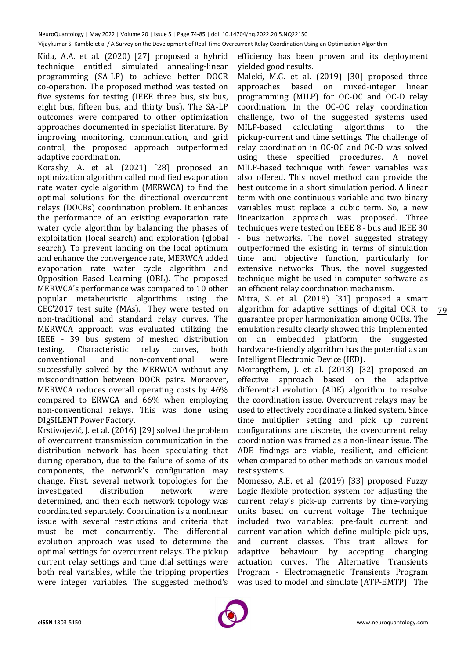Kida, A.A. et al. (2020) [27] proposed a hybrid technique entitled simulated annealing-linear programming (SA-LP) to achieve better DOCR co-operation. The proposed method was tested on five systems for testing (IEEE three bus, six bus, eight bus, fifteen bus, and thirty bus). The SA-LP outcomes were compared to other optimization approaches documented in specialist literature. By improving monitoring, communication, and grid control, the proposed approach outperformed adaptive coordination.

Korashy, A. et al. (2021) [28] proposed an optimization algorithm called modified evaporation rate water cycle algorithm (MERWCA) to find the optimal solutions for the directional overcurrent relays (DOCRs) coordination problem. It enhances the performance of an existing evaporation rate water cycle algorithm by balancing the phases of exploitation (local search) and exploration (global search). To prevent landing on the local optimum and enhance the convergence rate, MERWCA added evaporation rate water cycle algorithm and Opposition Based Learning (OBL). The proposed MERWCA's performance was compared to 10 other popular metaheuristic algorithms using the CEC'2017 test suite (MAs). They were tested on non-traditional and standard relay curves. The MERWCA approach was evaluated utilizing the IEEE - 39 bus system of meshed distribution testing. Characteristic relay curves, both conventional and non-conventional were successfully solved by the MERWCA without any miscoordination between DOCR pairs. Moreover, MERWCA reduces overall operating costs by 46% compared to ERWCA and 66% when employing non-conventional relays. This was done using DIgSILENT Power Factory.

Krstivojević, J. et al. (2016) [29] solved the problem of overcurrent transmission communication in the distribution network has been speculating that during operation, due to the failure of some of its components, the network's configuration may change. First, several network topologies for the investigated distribution network were determined, and then each network topology was coordinated separately. Coordination is a nonlinear issue with several restrictions and criteria that must be met concurrently. The differential evolution approach was used to determine the optimal settings for overcurrent relays. The pickup current relay settings and time dial settings were both real variables, while the tripping properties were integer variables. The suggested method's

efficiency has been proven and its deployment yielded good results.

Maleki, M.G. et al. (2019) [30] proposed three approaches based on mixed-integer linear programming (MILP) for OC-OC and OC-D relay coordination. In the OC-OC relay coordination challenge, two of the suggested systems used MILP-based calculating algorithms to the pickup-current and time settings. The challenge of relay coordination in OC-OC and OC-D was solved using these specified procedures. A novel MILP-based technique with fewer variables was also offered. This novel method can provide the best outcome in a short simulation period. A linear term with one continuous variable and two binary variables must replace a cubic term. So, a new linearization approach was proposed. Three techniques were tested on IEEE 8 - bus and IEEE 30 - bus networks. The novel suggested strategy outperformed the existing in terms of simulation time and objective function, particularly for extensive networks. Thus, the novel suggested technique might be used in computer software as an efficient relay coordination mechanism.

Mitra, S. et al. (2018) [31] proposed a smart algorithm for adaptive settings of digital OCR to guarantee proper harmonization among OCRs. The emulation results clearly showed this. Implemented on an embedded platform, the suggested hardware-friendly algorithm has the potential as an Intelligent Electronic Device (IED).

Moirangthem, J. et al. (2013) [32] proposed an effective approach based on the adaptive differential evolution (ADE) algorithm to resolve the coordination issue. Overcurrent relays may be used to effectively coordinate a linked system. Since time multiplier setting and pick up current configurations are discrete, the overcurrent relay coordination was framed as a non-linear issue. The ADE findings are viable, resilient, and efficient when compared to other methods on various model test systems.

Momesso, A.E. et al. (2019) [33] proposed Fuzzy Logic flexible protection system for adjusting the current relay's pick-up currents by time-varying units based on current voltage. The technique included two variables: pre-fault current and current variation, which define multiple pick-ups, and current classes. This trait allows for adaptive behaviour by accepting changing actuation curves. The Alternative Transients Program - Electromagnetic Transients Program was used to model and simulate (ATP-EMTP). The

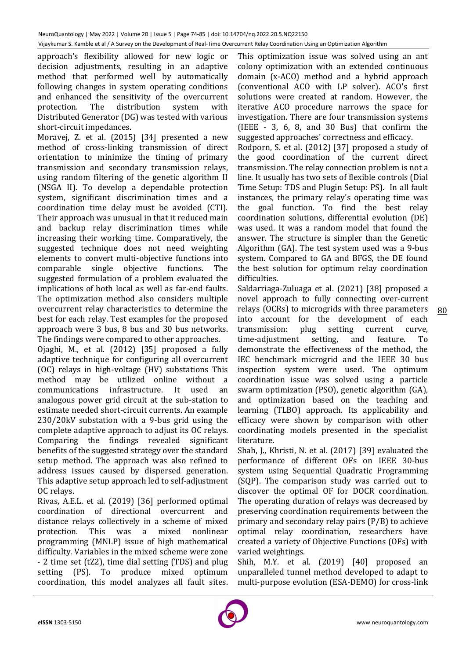approach's flexibility allowed for new logic or decision adjustments, resulting in an adaptive method that performed well by automatically following changes in system operating conditions and enhanced the sensitivity of the overcurrent protection. The distribution system with Distributed Generator (DG) was tested with various short-circuit impedances.

Moravej, Z. et al. (2015) [34] presented a new method of cross-linking transmission of direct orientation to minimize the timing of primary transmission and secondary transmission relays, using random filtering of the genetic algorithm II (NSGA II). To develop a dependable protection system, significant discrimination times and a coordination time delay must be avoided (CTI). Their approach was unusual in that it reduced main and backup relay discrimination times while increasing their working time. Comparatively, the suggested technique does not need weighting elements to convert multi-objective functions into comparable single objective functions. The suggested formulation of a problem evaluated the implications of both local as well as far-end faults. The optimization method also considers multiple overcurrent relay characteristics to determine the best for each relay. Test examples for the proposed approach were 3 bus, 8 bus and 30 bus networks. The findings were compared to other approaches.

Ojaghi, M., et al. (2012) [35] proposed a fully adaptive technique for configuring all overcurrent (OC) relays in high-voltage (HV) substations This method may be utilized online without a communications infrastructure. It used an analogous power grid circuit at the sub-station to estimate needed short-circuit currents. An example 230/20kV substation with a 9-bus grid using the complete adaptive approach to adjust its OC relays. Comparing the findings revealed significant benefits of the suggested strategy over the standard setup method. The approach was also refined to address issues caused by dispersed generation. This adaptive setup approach led to self-adjustment OC relays.

Rivas, A.E.L. et al. (2019) [36] performed optimal coordination of directional overcurrent and distance relays collectively in a scheme of mixed protection. This was a mixed nonlinear programming (MNLP) issue of high mathematical difficulty. Variables in the mixed scheme were zone - 2 time set (tZ2), time dial setting (TDS) and plug setting (PS). To produce mixed optimum coordination, this model analyzes all fault sites.

This optimization issue was solved using an ant colony optimization with an extended continuous domain (x-ACO) method and a hybrid approach (conventional ACO with LP solver). ACO's first solutions were created at random. However, the iterative ACO procedure narrows the space for investigation. There are four transmission systems (IEEE - 3, 6, 8, and 30 Bus) that confirm the suggested approaches' correctness and efficacy.

Rodporn, S. et al. (2012) [37] proposed a study of the good coordination of the current direct transmission. The relay connection problem is not a line. It usually has two sets of flexible controls (Dial Time Setup: TDS and Plugin Setup: PS). In all fault instances, the primary relay's operating time was the goal function. To find the best relay coordination solutions, differential evolution (DE) was used. It was a random model that found the answer. The structure is simpler than the Genetic Algorithm (GA). The test system used was a 9-bus system. Compared to GA and BFGS, the DE found the best solution for optimum relay coordination difficulties.

80 Saldarriaga-Zuluaga et al. (2021) [38] proposed a novel approach to fully connecting over-current relays (OCRs) to microgrids with three parameters into account for the development of each transmission: plug setting current curve, time-adjustment setting, and feature. To demonstrate the effectiveness of the method, the IEC benchmark microgrid and the IEEE 30 bus inspection system were used. The optimum coordination issue was solved using a particle swarm optimization (PSO), genetic algorithm (GA), and optimization based on the teaching and learning (TLBO) approach. Its applicability and efficacy were shown by comparison with other coordinating models presented in the specialist literature.

Shah, J., Khristi, N. et al. (2017) [39] evaluated the performance of different OFs on IEEE 30-bus system using Sequential Quadratic Programming (SQP). The comparison study was carried out to discover the optimal OF for DOCR coordination. The operating duration of relays was decreased by preserving coordination requirements between the primary and secondary relay pairs (P/B) to achieve optimal relay coordination, researchers have created a variety of Objective Functions (OFs) with varied weightings.

Shih, M.Y. et al. (2019) [40] proposed an unparalleled tunnel method developed to adapt to multi-purpose evolution (ESA-DEMO) for cross-link

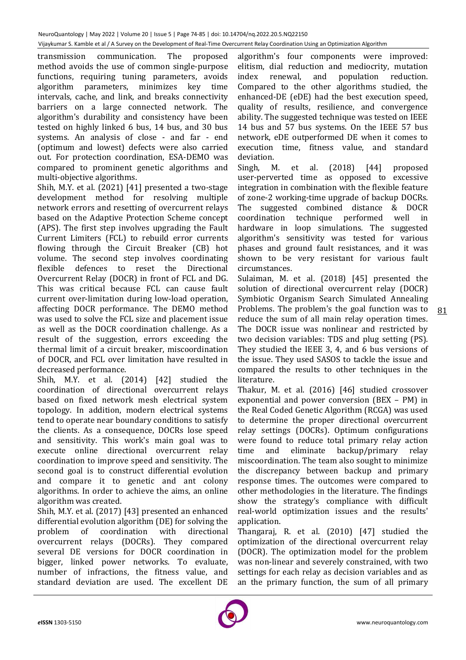transmission communication. The proposed method avoids the use of common single-purpose functions, requiring tuning parameters, avoids algorithm parameters, minimizes key time intervals, cache, and link, and breaks connectivity barriers on a large connected network. The algorithm's durability and consistency have been tested on highly linked 6 bus, 14 bus, and 30 bus systems. An analysis of close - and far - end (optimum and lowest) defects were also carried out. For protection coordination, ESA-DEMO was compared to prominent genetic algorithms and multi-objective algorithms.

Shih, M.Y. et al. (2021) [41] presented a two-stage development method for resolving multiple network errors and resetting of overcurrent relays based on the Adaptive Protection Scheme concept (APS). The first step involves upgrading the Fault Current Limiters (FCL) to rebuild error currents flowing through the Circuit Breaker (CB) hot volume. The second step involves coordinating flexible defences to reset the Directional Overcurrent Relay (DOCR) in front of FCL and DG. This was critical because FCL can cause fault current over-limitation during low-load operation, affecting DOCR performance. The DEMO method was used to solve the FCL size and placement issue as well as the DOCR coordination challenge. As a result of the suggestion, errors exceeding the thermal limit of a circuit breaker, miscoordination of DOCR, and FCL over limitation have resulted in decreased performance.

Shih, M.Y. et al. (2014) [42] studied the coordination of directional overcurrent relays based on fixed network mesh electrical system topology. In addition, modern electrical systems tend to operate near boundary conditions to satisfy the clients. As a consequence, DOCRs lose speed and sensitivity. This work's main goal was to execute online directional overcurrent relay coordination to improve speed and sensitivity. The second goal is to construct differential evolution and compare it to genetic and ant colony algorithms. In order to achieve the aims, an online algorithm was created.

Shih, M.Y. et al. (2017) [43] presented an enhanced differential evolution algorithm (DE) for solving the problem of coordination with directional overcurrent relays (DOCRs). They compared several DE versions for DOCR coordination in bigger, linked power networks. To evaluate, number of infractions, the fitness value, and standard deviation are used. The excellent DE

algorithm's four components were improved: elitism, dial reduction and mediocrity, mutation index renewal, and population reduction. Compared to the other algorithms studied, the enhanced-DE (eDE) had the best execution speed, quality of results, resilience, and convergence ability. The suggested technique was tested on IEEE 14 bus and 57 bus systems. On the IEEE 57 bus network, eDE outperformed DE when it comes to execution time, fitness value, and standard deviation.

Singh, M. et al. (2018) [44] proposed user-perverted time as opposed to excessive integration in combination with the flexible feature of zone-2 working-time upgrade of backup DOCRs. The suggested combined distance & DOCR coordination technique performed well in hardware in loop simulations. The suggested algorithm's sensitivity was tested for various phases and ground fault resistances, and it was shown to be very resistant for various fault circumstances.

Sulaiman, M. et al. (2018) [45] presented the solution of directional overcurrent relay (DOCR) Symbiotic Organism Search Simulated Annealing Problems. The problem's the goal function was to reduce the sum of all main relay operation times. The DOCR issue was nonlinear and restricted by two decision variables: TDS and plug setting (PS). They studied the IEEE 3, 4, and 6 bus versions of the issue. They used SASOS to tackle the issue and compared the results to other techniques in the literature.

Thakur, M. et al. (2016) [46] studied crossover exponential and power conversion (BEX – PM) in the Real Coded Genetic Algorithm (RCGA) was used to determine the proper directional overcurrent relay settings (DOCRs). Optimum configurations were found to reduce total primary relay action time and eliminate backup/primary relay miscoordination. The team also sought to minimize the discrepancy between backup and primary response times. The outcomes were compared to other methodologies in the literature. The findings show the strategy's compliance with difficult real-world optimization issues and the results' application.

Thangaraj, R. et al. (2010) [47] studied the optimization of the directional overcurrent relay (DOCR). The optimization model for the problem was non-linear and severely constrained, with two settings for each relay as decision variables and as an the primary function, the sum of all primary

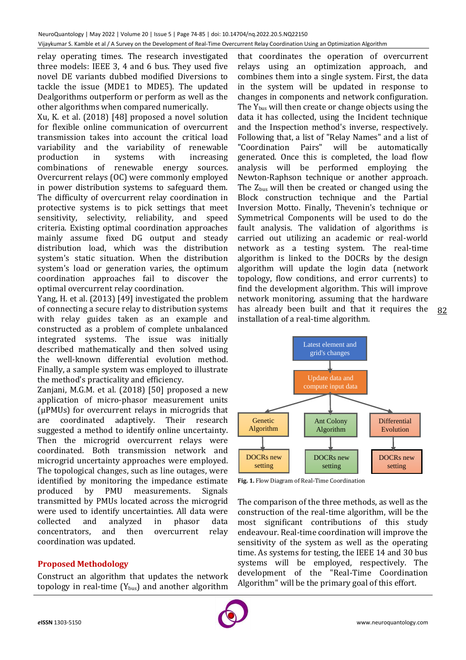relay operating times. The research investigated three models: IEEE 3, 4 and 6 bus. They used five novel DE variants dubbed modified Diversions to tackle the issue (MDE1 to MDE5). The updated Dealgorithms outperform or perform as well as the other algorithms when compared numerically.

Xu, K. et al. (2018) [48] proposed a novel solution for flexible online communication of overcurrent transmission takes into account the critical load variability and the variability of renewable production in systems with increasing combinations of renewable energy sources. Overcurrent relays (OC) were commonly employed in power distribution systems to safeguard them. The difficulty of overcurrent relay coordination in protective systems is to pick settings that meet sensitivity, selectivity, reliability, and speed criteria. Existing optimal coordination approaches mainly assume fixed DG output and steady distribution load, which was the distribution system's static situation. When the distribution system's load or generation varies, the optimum coordination approaches fail to discover the optimal overcurrent relay coordination.

Yang, H. et al. (2013) [49] investigated the problem of connecting a secure relay to distribution systems with relay guides taken as an example and constructed as a problem of complete unbalanced integrated systems. The issue was initially described mathematically and then solved using the well-known differential evolution method. Finally, a sample system was employed to illustrate the method's practicality and efficiency.

Zanjani, M.G.M. et al. (2018) [50] proposed a new application of micro-phasor measurement units (μPMUs) for overcurrent relays in microgrids that are coordinated adaptively. Their research suggested a method to identify online uncertainty. Then the microgrid overcurrent relays were coordinated. Both transmission network and microgrid uncertainty approaches were employed. The topological changes, such as line outages, were identified by monitoring the impedance estimate produced by PMU measurements. Signals transmitted by PMUs located across the microgrid were used to identify uncertainties. All data were collected and analyzed in phasor data concentrators, and then overcurrent relay coordination was updated.

# **Proposed Methodology**

Construct an algorithm that updates the network topology in real-time  $(Y_{bus})$  and another algorithm

that coordinates the operation of overcurrent relays using an optimization approach, and combines them into a single system. First, the data in the system will be updated in response to changes in components and network configuration. The  $Y_{bus}$  will then create or change objects using the data it has collected, using the Incident technique and the Inspection method's inverse, respectively. Following that, a list of "Relay Names" and a list of "Coordination Pairs" will be automatically generated. Once this is completed, the load flow analysis will be performed employing the Newton-Raphson technique or another approach. The  $Z_{bus}$  will then be created or changed using the Block construction technique and the Partial Inversion Motto. Finally, Thevenin's technique or Symmetrical Components will be used to do the fault analysis. The validation of algorithms is carried out utilizing an academic or real-world network as a testing system. The real-time algorithm is linked to the DOCRs by the design algorithm will update the login data (network topology, flow conditions, and error currents) to find the development algorithm. This will improve network monitoring, assuming that the hardware has already been built and that it requires the installation of a real-time algorithm.



**Fig. 1.** Flow Diagram of Real-Time Coordination

The comparison of the three methods, as well as the construction of the real-time algorithm, will be the most significant contributions of this study endeavour. Real-time coordination will improve the sensitivity of the system as well as the operating time. As systems for testing, the IEEE 14 and 30 bus systems will be employed, respectively. The development of the "Real-Time Coordination Algorithm" will be the primary goal of this effort.



82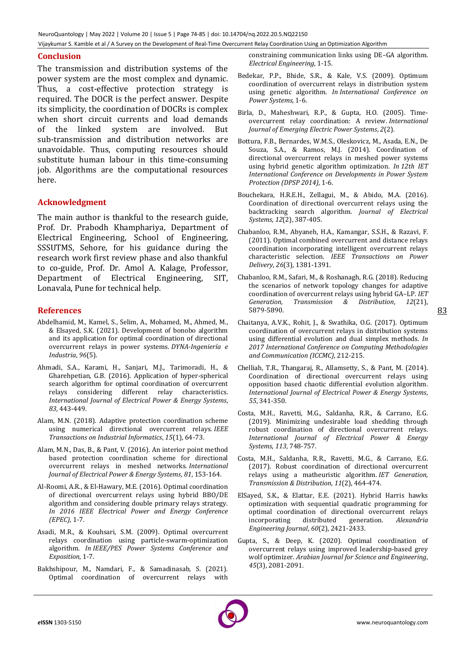NeuroQuantology | May 2022 | Volume 20 | Issue 5 | Page 74-85 | doi: 10.14704/nq.2022.20.5.NQ22150 Vijaykumar S. Kamble et al / A Survey on the Development of Real-Time Overcurrent Relay Coordination Using an Optimization Algorithm

## **Conclusion**

The transmission and distribution systems of the power system are the most complex and dynamic. Thus, a cost-effective protection strategy is required. The DOCR is the perfect answer. Despite its simplicity, the coordination of DOCRs is complex when short circuit currents and load demands of the linked system are involved. But sub-transmission and distribution networks are unavoidable. Thus, computing resources should substitute human labour in this time-consuming job. Algorithms are the computational resources here.

## **Acknowledgment**

The main author is thankful to the research guide, Prof. Dr. Prabodh Khamphariya, Department of Electrical Engineering, School of Engineering, SSSUTMS, Sehore, for his guidance during the research work first review phase and also thankful to co-guide, Prof. Dr. Amol A. Kalage, Professor, Department of Electrical Engineering, SIT, Lonavala, Pune for technical help.

## **References**

- Abdelhamid, M., Kamel, S., Selim, A., Mohamed, M., Ahmed, M., & Elsayed, S.K. (2021). Development of bonobo algorithm and its application for optimal coordination of directional overcurrent relays in power systems. *DYNA-Ingeniería e Industria*, *96*(5).
- Ahmadi, S.A., Karami, H., Sanjari, M.J., Tarimoradi, H., & Gharehpetian, G.B. (2016). Application of hyper-spherical search algorithm for optimal coordination of overcurrent relays considering different relay characteristics. *International Journal of Electrical Power & Energy Systems*, *83*, 443-449.
- Alam, M.N. (2018). Adaptive protection coordination scheme using numerical directional overcurrent relays. *IEEE Transactions on Industrial Informatics*, *15*(1), 64-73.
- Alam, M.N., Das, B., & Pant, V. (2016). An interior point method based protection coordination scheme for directional overcurrent relays in meshed networks. *International Journal of Electrical Power & Energy Systems*, *81*, 153-164.
- Al-Roomi, A.R., & El-Hawary, M.E. (2016). Optimal coordination of directional overcurrent relays using hybrid BBO/DE algorithm and considering double primary relays strategy. *In 2016 IEEE Electrical Power and Energy Conference (EPEC),* 1-7.
- Asadi, M.R., & Kouhsari, S.M. (2009). Optimal overcurrent relays coordination using particle-swarm-optimization algorithm. *In IEEE/PES Power Systems Conference and Exposition,* 1-7.
- Bakhshipour, M., Namdari, F., & Samadinasab, S. (2021). Optimal coordination of overcurrent relays with

constraining communication links using DE–GA algorithm. *Electrical Engineering*, 1-15.

- Bedekar, P.P., Bhide, S.R., & Kale, V.S. (2009). Optimum coordination of overcurrent relays in distribution system using genetic algorithm. *In International Conference on Power Systems,* 1-6.
- Birla, D., Maheshwari, R.P., & Gupta, H.O. (2005). Timeovercurrent relay coordination: A review. *International Journal of Emerging Electric Power Systems*, *2*(2).
- Bottura, F.B., Bernardes, W.M.S., Oleskovicz, M., Asada, E.N., De Souza, S.A., & Ramos, M.J. (2014). Coordination of directional overcurrent relays in meshed power systems using hybrid genetic algorithm optimization. *In 12th IET International Conference on Developments in Power System Protection (DPSP 2014),* 1-6.
- Bouchekara, H.R.E.H., Zellagui, M., & Abido, M.A. (2016). Coordination of directional overcurrent relays using the backtracking search algorithm. *Journal of Electrical Systems*, *12*(2), 387-405.
- Chabanloo, R.M., Abyaneh, H.A., Kamangar, S.S.H., & Razavi, F. (2011). Optimal combined overcurrent and distance relays coordination incorporating intelligent overcurrent relays characteristic selection. *IEEE Transactions on Power Delivery*, *26*(3), 1381-1391.
- Chabanloo, R.M., Safari, M., & Roshanagh, R.G. (2018). Reducing the scenarios of network topology changes for adaptive coordination of overcurrent relays using hybrid GA–LP. *IET Generation, Transmission & Distribution*, *12*(21), 5879-5890.
- Chaitanya, A.V.K., Rohit, J., & Swathika, O.G. (2017). Optimum coordination of overcurrent relays in distribution systems using differential evolution and dual simplex methods. *In 2017 International Conference on Computing Methodologies and Communication (ICCMC),* 212-215.
- Chelliah, T.R., Thangaraj, R., Allamsetty, S., & Pant, M. (2014). Coordination of directional overcurrent relays using opposition based chaotic differential evolution algorithm. *International Journal of Electrical Power & Energy Systems*, *55*, 341-350.
- Costa, M.H., Ravetti, M.G., Saldanha, R.R., & Carrano, E.G. (2019). Minimizing undesirable load shedding through robust coordination of directional overcurrent relays. *International Journal of Electrical Power & Energy Systems*, *113*, 748-757.
- Costa, M.H., Saldanha, R.R., Ravetti, M.G., & Carrano, E.G. (2017). Robust coordination of directional overcurrent relays using a matheuristic algorithm. *IET Generation, Transmission & Distribution*, *11*(2), 464-474.
- ElSayed, S.K., & Elattar, E.E. (2021). Hybrid Harris hawks optimization with sequential quadratic programming for optimal coordination of directional overcurrent relays incorporating distributed generation. *Alexandria Engineering Journal*, *60*(2), 2421-2433.
- Gupta, S., & Deep, K. (2020). Optimal coordination of overcurrent relays using improved leadership-based grey wolf optimizer. *Arabian Journal for Science and Engineering*, *45*(3), 2081-2091.

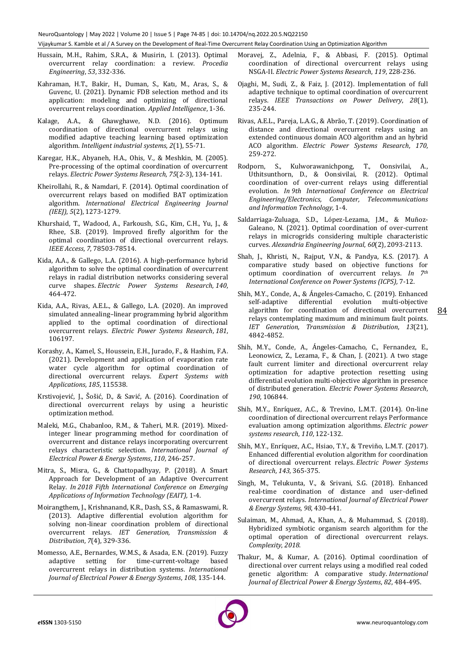- Hussain, M.H., Rahim, S.R.A., & Musirin, I. (2013). Optimal overcurrent relay coordination: a review. *Procedia Engineering*, *53*, 332-336.
- Kahraman, H.T., Bakir, H., Duman, S., Katı, M., Aras, S., & Guvenc, U. (2021). Dynamic FDB selection method and its application: modeling and optimizing of directional overcurrent relays coordination. *Applied Intelligence*, 1-36.
- Kalage, A.A., & Ghawghawe, N.D. (2016). Optimum coordination of directional overcurrent relays using modified adaptive teaching learning based optimization algorithm. *Intelligent industrial systems*, *2*(1), 55-71.
- Karegar, H.K., Abyaneh, H.A., Ohis, V., & Meshkin, M. (2005). Pre-processing of the optimal coordination of overcurrent relays. *Electric Power Systems Research*, *75*(2-3), 134-141.
- Kheirollahi, R., & Namdari, F. (2014). Optimal coordination of overcurrent relays based on modified BAT optimization algorithm. *International Electrical Engineering Journal (IEEJ)*, *5*(2), 1273-1279.
- Khurshaid, T., Wadood, A., Farkoush, S.G., Kim, C.H., Yu, J., & Rhee, S.B. (2019). Improved firefly algorithm for the optimal coordination of directional overcurrent relays. *IEEE Access*, *7*, 78503-78514.
- Kida, A.A., & Gallego, L.A. (2016). A high-performance hybrid algorithm to solve the optimal coordination of overcurrent relays in radial distribution networks considering several curve shapes. *Electric Power Systems Research*, *140*, 464-472.
- Kida, A.A., Rivas, A.E.L., & Gallego, L.A. (2020). An improved simulated annealing–linear programming hybrid algorithm applied to the optimal coordination of directional overcurrent relays. *Electric Power Systems Research*, *181*, 106197.
- Korashy, A., Kamel, S., Houssein, E.H., Jurado, F., & Hashim, F.A. (2021). Development and application of evaporation rate water cycle algorithm for optimal coordination of directional overcurrent relays. *Expert Systems with Applications*, *185*, 115538.
- Krstivojević, J., Šošić, D., & Savić, A. (2016). Coordination of directional overcurrent relays by using a heuristic optimization method.
- Maleki, M.G., Chabanloo, R.M., & Taheri, M.R. (2019). Mixedinteger linear programming method for coordination of overcurrent and distance relays incorporating overcurrent relays characteristic selection. *International Journal of Electrical Power & Energy Systems*, *110*, 246-257.
- Mitra, S., Misra, G., & Chattopadhyay, P. (2018). A Smart Approach for Development of an Adaptive Overcurrent Relay. *In 2018 Fifth International Conference on Emerging Applications of Information Technology (EAIT),* 1-4.
- Moirangthem, J., Krishnanand, K.R., Dash, S.S., & Ramaswami, R. (2013). Adaptive differential evolution algorithm for solving non-linear coordination problem of directional overcurrent relays. *IET Generation, Transmission & Distribution*, *7*(4), 329-336.
- Momesso, A.E., Bernardes, W.M.S., & Asada, E.N. (2019). Fuzzy adaptive setting for time-current-voltage based overcurrent relays in distribution systems. *International Journal of Electrical Power & Energy Systems*, *108*, 135-144.
- Moravej, Z., Adelnia, F., & Abbasi, F. (2015). Optimal coordination of directional overcurrent relays using NSGA-II. *Electric Power Systems Research*, *119*, 228-236.
- Ojaghi, M., Sudi, Z., & Faiz, J. (2012). Implementation of full adaptive technique to optimal coordination of overcurrent relays. *IEEE Transactions on Power Delivery*, *28*(1), 235-244.
- Rivas, A.E.L., Pareja, L.A.G., & Abrão, T. (2019). Coordination of distance and directional overcurrent relays using an extended continuous domain ACO algorithm and an hybrid ACO algorithm. *Electric Power Systems Research*, *170*, 259-272.
- Rodporn, S., Kulworawanichpong, T., Oonsivilai, A., Uthitsunthorn, D., & Oonsivilai, R. (2012). Optimal coordination of over-current relays using differential evolution. *In 9th International Conference on Electrical Engineering/Electronics, Computer, Telecommunications and Information Technology,* 1-4.
- Saldarriaga-Zuluaga, S.D., López-Lezama, J.M., & Muñoz-Galeano, N. (2021). Optimal coordination of over-current relays in microgrids considering multiple characteristic curves. *Alexandria Engineering Journal*, *60*(2), 2093-2113.
- Shah, J., Khristi, N., Rajput, V.N., & Pandya, K.S. (2017). A comparative study based on objective functions for optimum coordination of overcurrent relays. *In 7th International Conference on Power Systems (ICPS),* 7-12.
- Shih, M.Y., Conde, A., & Ángeles-Camacho, C. (2019). Enhanced self-adaptive differential evolution multi-objective algorithm for coordination of directional overcurrent relays contemplating maximum and minimum fault points. *IET Generation, Transmission & Distribution*, *13*(21), 4842-4852.

84

- Shih, M.Y., Conde, A., Ángeles-Camacho, C., Fernandez, E., Leonowicz, Z., Lezama, F., & Chan, J. (2021). A two stage fault current limiter and directional overcurrent relay optimization for adaptive protection resetting using differential evolution multi-objective algorithm in presence of distributed generation. *Electric Power Systems Research*, *190*, 106844.
- Shih, M.Y., Enríquez, A.C., & Trevino, L.M.T. (2014). On-line coordination of directional overcurrent relays Performance evaluation among optimization algorithms. *Electric power systems research*, *110*, 122-132.
- Shih, M.Y., Enríquez, A.C., Hsiao, T.Y., & Treviño, L.M.T. (2017). Enhanced differential evolution algorithm for coordination of directional overcurrent relays. *Electric Power Systems Research*, *143*, 365-375.
- Singh, M., Telukunta, V., & Srivani, S.G. (2018). Enhanced real-time coordination of distance and user-defined overcurrent relays. *International Journal of Electrical Power & Energy Systems*, *98*, 430-441.
- Sulaiman, M., Ahmad, A., Khan, A., & Muhammad, S. (2018). Hybridized symbiotic organism search algorithm for the optimal operation of directional overcurrent relays. *Complexity*, *2018*.
- Thakur, M., & Kumar, A. (2016). Optimal coordination of directional over current relays using a modified real coded genetic algorithm: A comparative study. *International Journal of Electrical Power & Energy Systems*, *82*, 484-495.